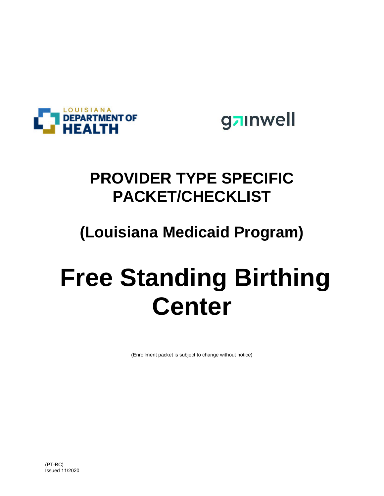

gainwell

## **PROVIDER TYPE SPECIFIC PACKET/CHECKLIST**

## **(Louisiana Medicaid Program)**

# **Free Standing Birthing Center**

(Enrollment packet is subject to change without notice)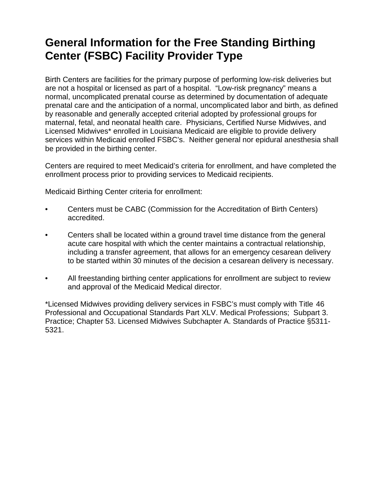### **General Information for the Free Standing Birthing Center (FSBC) Facility Provider Type**

Birth Centers are facilities for the primary purpose of performing low-risk deliveries but are not a hospital or licensed as part of a hospital. "Low-risk pregnancy" means a normal, uncomplicated prenatal course as determined by documentation of adequate prenatal care and the anticipation of a normal, uncomplicated labor and birth, as defined by reasonable and generally accepted criterial adopted by professional groups for maternal, fetal, and neonatal health care. Physicians, Certified Nurse Midwives, and Licensed Midwives\* enrolled in Louisiana Medicaid are eligible to provide delivery services within Medicaid enrolled FSBC's. Neither general nor epidural anesthesia shall be provided in the birthing center.

Centers are required to meet Medicaid's criteria for enrollment, and have completed the enrollment process prior to providing services to Medicaid recipients.

Medicaid Birthing Center criteria for enrollment:

- Centers must be CABC (Commission for the Accreditation of Birth Centers) accredited.
- Centers shall be located within a ground travel time distance from the general acute care hospital with which the center maintains a contractual relationship, including a transfer agreement, that allows for an emergency cesarean delivery to be started within 30 minutes of the decision a cesarean delivery is necessary.
- All freestanding birthing center applications for enrollment are subject to review and approval of the Medicaid Medical director.

\*Licensed Midwives providing delivery services in FSBC's must comply with Title 46 Professional and Occupational Standards Part XLV. Medical Professions; Subpart 3. Practice; Chapter 53. Licensed Midwives Subchapter A. Standards of Practice §5311- 5321.